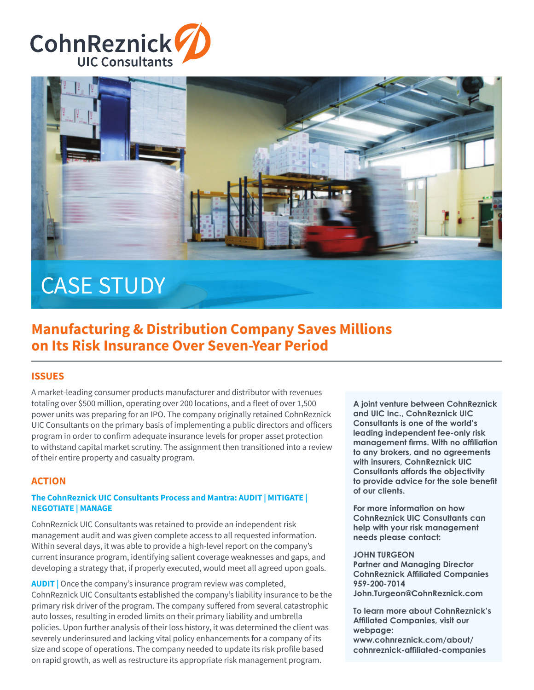



# CASE STUDY

## **Manufacturing & Distribution Company Saves Millions on Its Risk Insurance Over Seven-Year Period**

#### **ISSUES**

A market-leading consumer products manufacturer and distributor with revenues totaling over \$500 million, operating over 200 locations, and a fleet of over 1,500 power units was preparing for an IPO. The company originally retained CohnReznick UIC Consultants on the primary basis of implementing a public directors and officers program in order to confirm adequate insurance levels for proper asset protection to withstand capital market scrutiny. The assignment then transitioned into a review of their entire property and casualty program.

#### **ACTION**

#### **The CohnReznick UIC Consultants Process and Mantra: AUDIT | MITIGATE | NEGOTIATE | MANAGE**

CohnReznick UIC Consultants was retained to provide an independent risk management audit and was given complete access to all requested information. Within several days, it was able to provide a high-level report on the company's current insurance program, identifying salient coverage weaknesses and gaps, and developing a strategy that, if properly executed, would meet all agreed upon goals.

**AUDIT** | Once the company's insurance program review was completed, CohnReznick UIC Consultants established the company's liability insurance to be the primary risk driver of the program. The company suffered from several catastrophic auto losses, resulting in eroded limits on their primary liability and umbrella policies. Upon further analysis of their loss history, it was determined the client was severely underinsured and lacking vital policy enhancements for a company of its size and scope of operations. The company needed to update its risk profile based on rapid growth, as well as restructure its appropriate risk management program.

**A joint venture between CohnReznick and UIC Inc., CohnReznick UIC Consultants is one of the world's leading independent fee-only risk**  management firms. With no affiliation **to any brokers, and no agreements with insurers, CohnReznick UIC Consultants affords the objectivity**  to provide advice for the sole benefit **of our clients.**

**For more information on how CohnReznick UIC Consultants can help with your risk management needs please contact:**

#### **JOHN TURGEON**

**Partner and Managing Director CohnReznick Affiliated Companies 959-200-7014 John.Turgeon@CohnReznick.com**

**To learn more about CohnReznick's Affiliated Companies, visit our webpage: www.cohnreznick.com/about/** 

**cohnreznick-affi liated-companies**